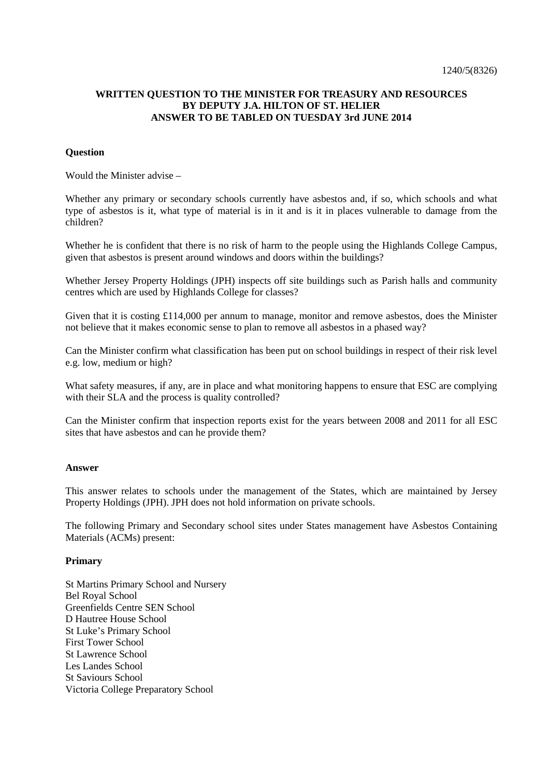# **WRITTEN QUESTION TO THE MINISTER FOR TREASURY AND RESOURCES BY DEPUTY J.A. HILTON OF ST. HELIER ANSWER TO BE TABLED ON TUESDAY 3rd JUNE 2014**

### **Question**

Would the Minister advise –

Whether any primary or secondary schools currently have asbestos and, if so, which schools and what type of asbestos is it, what type of material is in it and is it in places vulnerable to damage from the children?

Whether he is confident that there is no risk of harm to the people using the Highlands College Campus, given that asbestos is present around windows and doors within the buildings?

Whether Jersey Property Holdings (JPH) inspects off site buildings such as Parish halls and community centres which are used by Highlands College for classes?

Given that it is costing £114,000 per annum to manage, monitor and remove asbestos, does the Minister not believe that it makes economic sense to plan to remove all asbestos in a phased way?

Can the Minister confirm what classification has been put on school buildings in respect of their risk level e.g. low, medium or high?

What safety measures, if any, are in place and what monitoring happens to ensure that ESC are complying with their SLA and the process is quality controlled?

Can the Minister confirm that inspection reports exist for the years between 2008 and 2011 for all ESC sites that have asbestos and can he provide them?

#### **Answer**

This answer relates to schools under the management of the States, which are maintained by Jersey Property Holdings (JPH). JPH does not hold information on private schools.

The following Primary and Secondary school sites under States management have Asbestos Containing Materials (ACMs) present:

#### **Primary**

St Martins Primary School and Nursery Bel Royal School Greenfields Centre SEN School D Hautree House School St Luke's Primary School First Tower School St Lawrence School Les Landes School St Saviours School Victoria College Preparatory School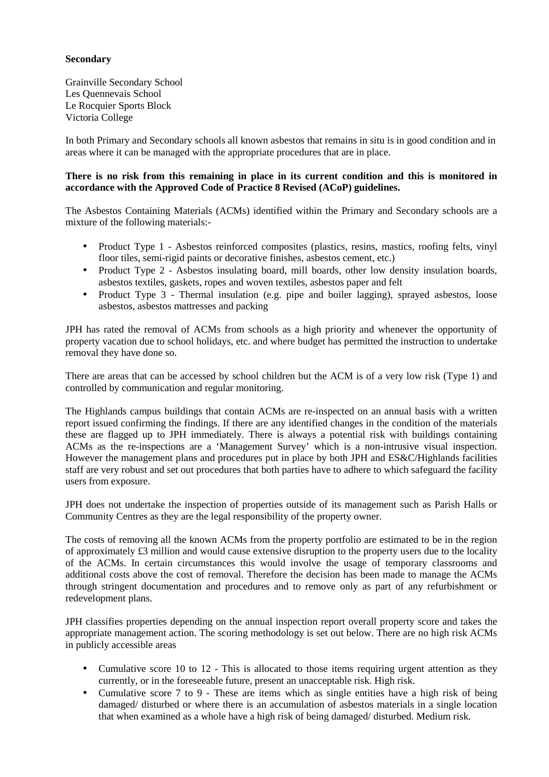## **Secondary**

Grainville Secondary School Les Quennevais School Le Rocquier Sports Block Victoria College

In both Primary and Secondary schools all known asbestos that remains in situ is in good condition and in areas where it can be managed with the appropriate procedures that are in place.

## **There is no risk from this remaining in place in its current condition and this is monitored in accordance with the Approved Code of Practice 8 Revised (ACoP) guidelines.**

The Asbestos Containing Materials (ACMs) identified within the Primary and Secondary schools are a mixture of the following materials:-

- Product Type 1 Asbestos reinforced composites (plastics, resins, mastics, roofing felts, vinyl floor tiles, semi-rigid paints or decorative finishes, asbestos cement, etc.)
- Product Type 2 Asbestos insulating board, mill boards, other low density insulation boards, asbestos textiles, gaskets, ropes and woven textiles, asbestos paper and felt
- Product Type 3 Thermal insulation (e.g. pipe and boiler lagging), sprayed asbestos, loose asbestos, asbestos mattresses and packing

JPH has rated the removal of ACMs from schools as a high priority and whenever the opportunity of property vacation due to school holidays, etc. and where budget has permitted the instruction to undertake removal they have done so.

There are areas that can be accessed by school children but the ACM is of a very low risk (Type 1) and controlled by communication and regular monitoring.

The Highlands campus buildings that contain ACMs are re-inspected on an annual basis with a written report issued confirming the findings. If there are any identified changes in the condition of the materials these are flagged up to JPH immediately. There is always a potential risk with buildings containing ACMs as the re-inspections are a 'Management Survey' which is a non-intrusive visual inspection. However the management plans and procedures put in place by both JPH and ES&C/Highlands facilities staff are very robust and set out procedures that both parties have to adhere to which safeguard the facility users from exposure.

JPH does not undertake the inspection of properties outside of its management such as Parish Halls or Community Centres as they are the legal responsibility of the property owner.

The costs of removing all the known ACMs from the property portfolio are estimated to be in the region of approximately £3 million and would cause extensive disruption to the property users due to the locality of the ACMs. In certain circumstances this would involve the usage of temporary classrooms and additional costs above the cost of removal. Therefore the decision has been made to manage the ACMs through stringent documentation and procedures and to remove only as part of any refurbishment or redevelopment plans.

JPH classifies properties depending on the annual inspection report overall property score and takes the appropriate management action. The scoring methodology is set out below. There are no high risk ACMs in publicly accessible areas

- Cumulative score 10 to 12 This is allocated to those items requiring urgent attention as they currently, or in the foreseeable future, present an unacceptable risk. High risk.
- Cumulative score 7 to 9 These are items which as single entities have a high risk of being damaged/ disturbed or where there is an accumulation of asbestos materials in a single location that when examined as a whole have a high risk of being damaged/ disturbed. Medium risk.